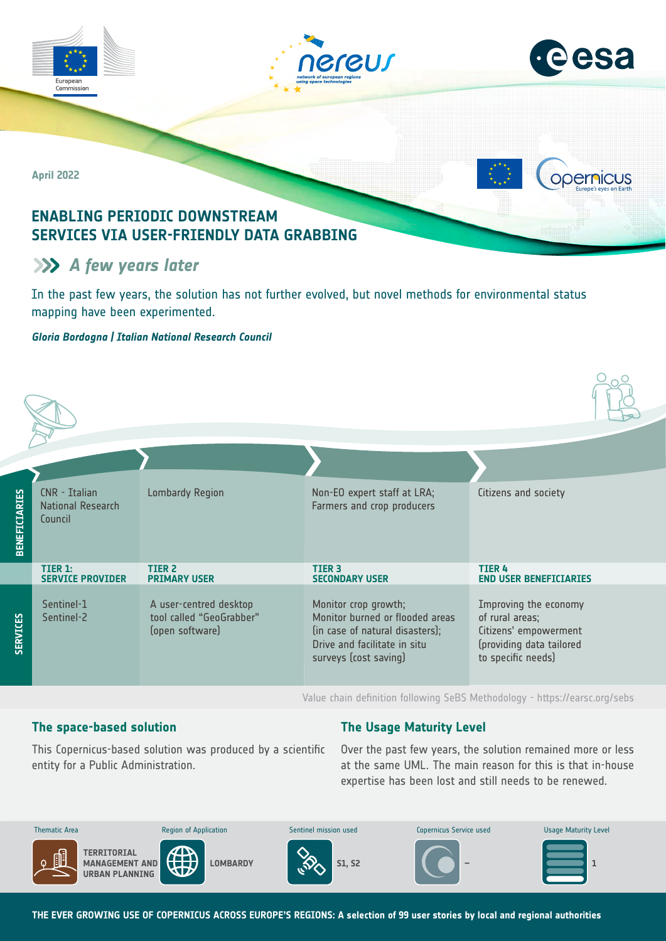

# **A** few years later

In the past few years, the solution has not further evolved, but novel methods for environmental status mapping have been experimented.

### *Gloria Bordogna | Italian National Research Council*

| <b>BENEFICIARIES</b> | CNR - Italian<br>National Research<br>Council | <b>Lombardy Region</b>                                                | Non-EO expert staff at LRA;<br>Farmers and crop producers                                                                                           | Citizens and society                                                                                                |
|----------------------|-----------------------------------------------|-----------------------------------------------------------------------|-----------------------------------------------------------------------------------------------------------------------------------------------------|---------------------------------------------------------------------------------------------------------------------|
|                      | TIER 1:<br><b>SERVICE PROVIDER</b>            | TIER <sub>2</sub><br><b>PRIMARY USER</b>                              | <b>TIER 3</b><br><b>SECONDARY USER</b>                                                                                                              | <b>TIER 4</b><br><b>END USER BENEFICIARIES</b>                                                                      |
| <b>SERVICES</b>      | Sentinel-1<br>Sentinel-2                      | A user-centred desktop<br>tool called "GeoGrabber"<br>(open software) | Monitor crop growth;<br>Monitor burned or flooded areas<br>(in case of natural disasters);<br>Drive and facilitate in situ<br>surveys (cost saving) | Improving the economy<br>of rural areas;<br>Citizens' empowerment<br>(providing data tailored<br>to specific needs) |

Value chain definition following SeBS Methodology -<https://earsc.org/sebs>

# **The space-based solution**

# **The Usage Maturity Level**

This Copernicus-based solution was produced by a scientific entity for a Public Administration.

Over the past few years, the solution remained more or less at the same UML. The main reason for this is that in-house expertise has been lost and still needs to be renewed.



**THE EVER GROWING USE OF COPERNICUS ACROSS EUROPE'S REGIONS: A selection of 99 user stories by local and regional authorities**